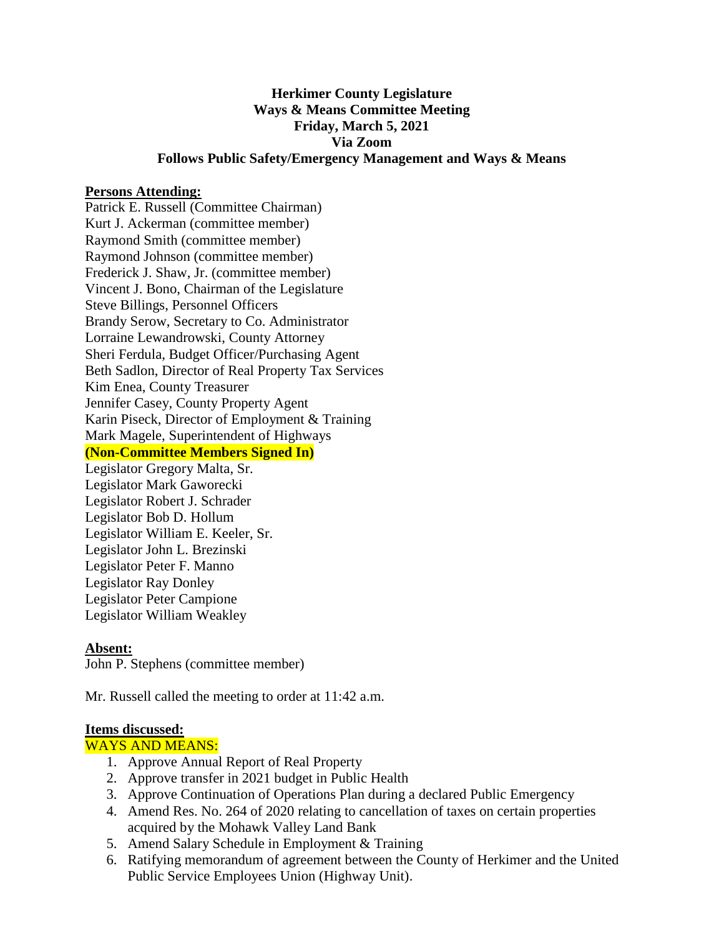# **Herkimer County Legislature Ways & Means Committee Meeting Friday, March 5, 2021 Via Zoom Follows Public Safety/Emergency Management and Ways & Means**

### **Persons Attending:**

Patrick E. Russell (Committee Chairman) Kurt J. Ackerman (committee member) Raymond Smith (committee member) Raymond Johnson (committee member) Frederick J. Shaw, Jr. (committee member) Vincent J. Bono, Chairman of the Legislature Steve Billings, Personnel Officers Brandy Serow, Secretary to Co. Administrator Lorraine Lewandrowski, County Attorney Sheri Ferdula, Budget Officer/Purchasing Agent Beth Sadlon, Director of Real Property Tax Services Kim Enea, County Treasurer Jennifer Casey, County Property Agent Karin Piseck, Director of Employment & Training Mark Magele, Superintendent of Highways **(Non-Committee Members Signed In)** Legislator Gregory Malta, Sr. Legislator Mark Gaworecki Legislator Robert J. Schrader

Legislator Bob D. Hollum Legislator William E. Keeler, Sr. Legislator John L. Brezinski Legislator Peter F. Manno Legislator Ray Donley Legislator Peter Campione Legislator William Weakley

#### **Absent:**

John P. Stephens (committee member)

Mr. Russell called the meeting to order at 11:42 a.m.

#### **Items discussed:**

### WAYS AND MEANS:

- 1. Approve Annual Report of Real Property
- 2. Approve transfer in 2021 budget in Public Health
- 3. Approve Continuation of Operations Plan during a declared Public Emergency
- 4. Amend Res. No. 264 of 2020 relating to cancellation of taxes on certain properties acquired by the Mohawk Valley Land Bank
- 5. Amend Salary Schedule in Employment & Training
- 6. Ratifying memorandum of agreement between the County of Herkimer and the United Public Service Employees Union (Highway Unit).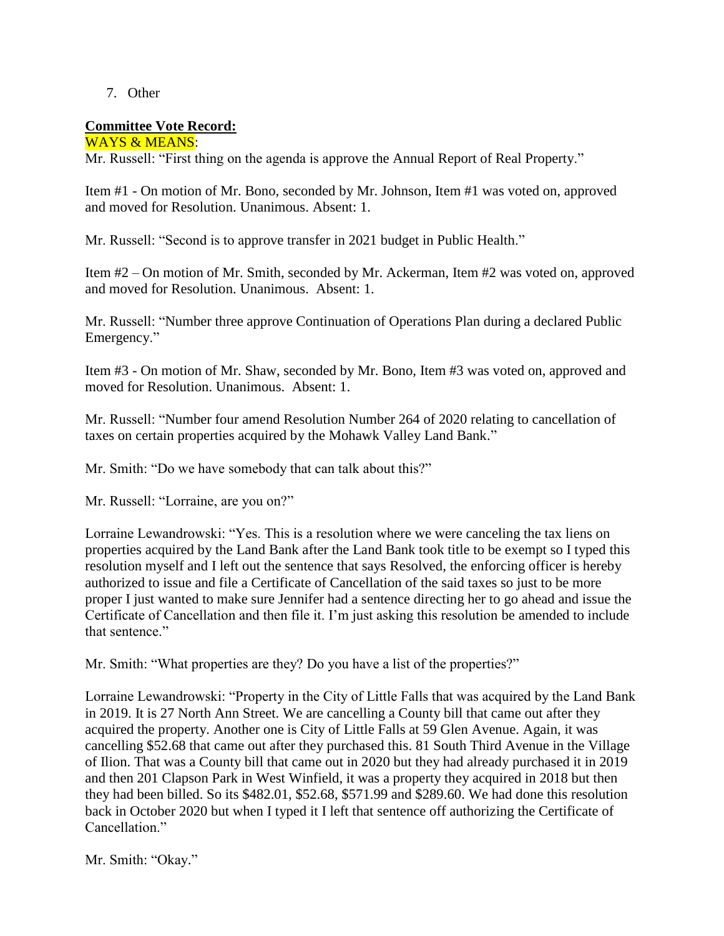## 7. Other

## **Committee Vote Record:**

WAYS & MEANS: Mr. Russell: "First thing on the agenda is approve the Annual Report of Real Property."

Item #1 - On motion of Mr. Bono, seconded by Mr. Johnson, Item #1 was voted on, approved and moved for Resolution. Unanimous. Absent: 1.

Mr. Russell: "Second is to approve transfer in 2021 budget in Public Health."

Item #2 – On motion of Mr. Smith, seconded by Mr. Ackerman, Item #2 was voted on, approved and moved for Resolution. Unanimous. Absent: 1.

Mr. Russell: "Number three approve Continuation of Operations Plan during a declared Public Emergency."

Item #3 - On motion of Mr. Shaw, seconded by Mr. Bono, Item #3 was voted on, approved and moved for Resolution. Unanimous. Absent: 1.

Mr. Russell: "Number four amend Resolution Number 264 of 2020 relating to cancellation of taxes on certain properties acquired by the Mohawk Valley Land Bank."

Mr. Smith: "Do we have somebody that can talk about this?"

Mr. Russell: "Lorraine, are you on?"

Lorraine Lewandrowski: "Yes. This is a resolution where we were canceling the tax liens on properties acquired by the Land Bank after the Land Bank took title to be exempt so I typed this resolution myself and I left out the sentence that says Resolved, the enforcing officer is hereby authorized to issue and file a Certificate of Cancellation of the said taxes so just to be more proper I just wanted to make sure Jennifer had a sentence directing her to go ahead and issue the Certificate of Cancellation and then file it. I'm just asking this resolution be amended to include that sentence."

Mr. Smith: "What properties are they? Do you have a list of the properties?"

Lorraine Lewandrowski: "Property in the City of Little Falls that was acquired by the Land Bank in 2019. It is 27 North Ann Street. We are cancelling a County bill that came out after they acquired the property. Another one is City of Little Falls at 59 Glen Avenue. Again, it was cancelling \$52.68 that came out after they purchased this. 81 South Third Avenue in the Village of Ilion. That was a County bill that came out in 2020 but they had already purchased it in 2019 and then 201 Clapson Park in West Winfield, it was a property they acquired in 2018 but then they had been billed. So its \$482.01, \$52.68, \$571.99 and \$289.60. We had done this resolution back in October 2020 but when I typed it I left that sentence off authorizing the Certificate of Cancellation."

Mr. Smith: "Okay."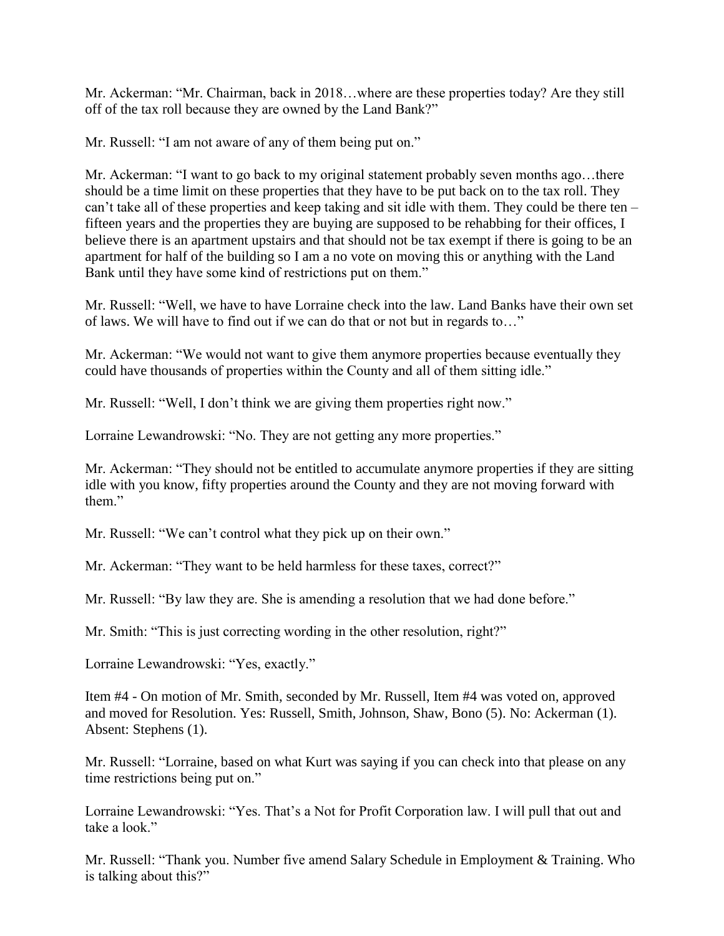Mr. Ackerman: "Mr. Chairman, back in 2018…where are these properties today? Are they still off of the tax roll because they are owned by the Land Bank?"

Mr. Russell: "I am not aware of any of them being put on."

Mr. Ackerman: "I want to go back to my original statement probably seven months ago…there should be a time limit on these properties that they have to be put back on to the tax roll. They can't take all of these properties and keep taking and sit idle with them. They could be there ten – fifteen years and the properties they are buying are supposed to be rehabbing for their offices, I believe there is an apartment upstairs and that should not be tax exempt if there is going to be an apartment for half of the building so I am a no vote on moving this or anything with the Land Bank until they have some kind of restrictions put on them."

Mr. Russell: "Well, we have to have Lorraine check into the law. Land Banks have their own set of laws. We will have to find out if we can do that or not but in regards to…"

Mr. Ackerman: "We would not want to give them anymore properties because eventually they could have thousands of properties within the County and all of them sitting idle."

Mr. Russell: "Well, I don't think we are giving them properties right now."

Lorraine Lewandrowski: "No. They are not getting any more properties."

Mr. Ackerman: "They should not be entitled to accumulate anymore properties if they are sitting idle with you know, fifty properties around the County and they are not moving forward with them."

Mr. Russell: "We can't control what they pick up on their own."

Mr. Ackerman: "They want to be held harmless for these taxes, correct?"

Mr. Russell: "By law they are. She is amending a resolution that we had done before."

Mr. Smith: "This is just correcting wording in the other resolution, right?"

Lorraine Lewandrowski: "Yes, exactly."

Item #4 - On motion of Mr. Smith, seconded by Mr. Russell, Item #4 was voted on, approved and moved for Resolution. Yes: Russell, Smith, Johnson, Shaw, Bono (5). No: Ackerman (1). Absent: Stephens (1).

Mr. Russell: "Lorraine, based on what Kurt was saying if you can check into that please on any time restrictions being put on."

Lorraine Lewandrowski: "Yes. That's a Not for Profit Corporation law. I will pull that out and take a look."

Mr. Russell: "Thank you. Number five amend Salary Schedule in Employment & Training. Who is talking about this?"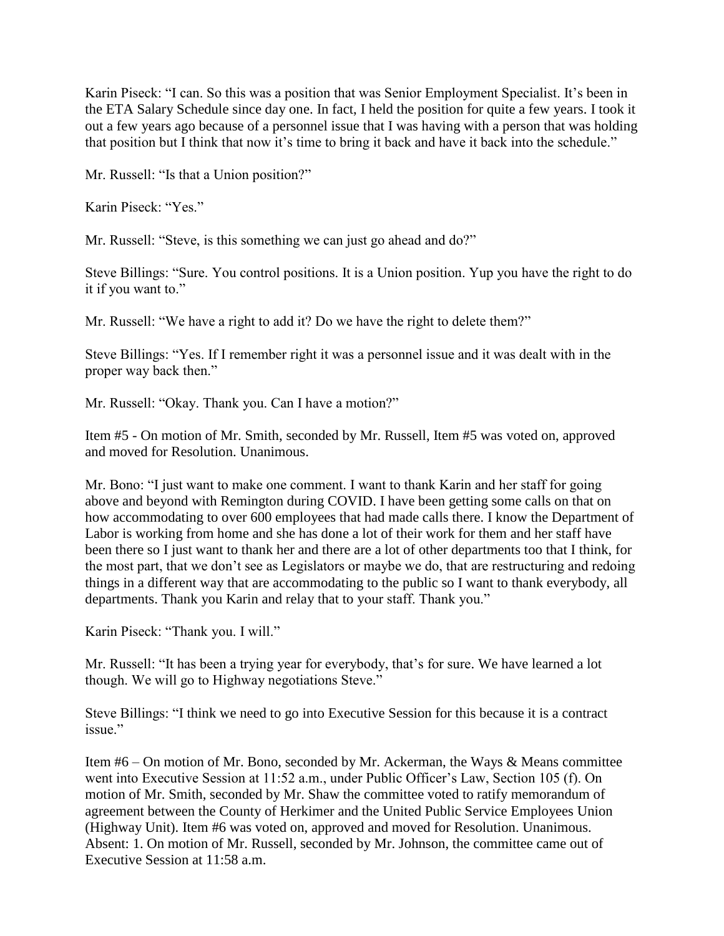Karin Piseck: "I can. So this was a position that was Senior Employment Specialist. It's been in the ETA Salary Schedule since day one. In fact, I held the position for quite a few years. I took it out a few years ago because of a personnel issue that I was having with a person that was holding that position but I think that now it's time to bring it back and have it back into the schedule."

Mr. Russell: "Is that a Union position?"

Karin Piseck: "Yes."

Mr. Russell: "Steve, is this something we can just go ahead and do?"

Steve Billings: "Sure. You control positions. It is a Union position. Yup you have the right to do it if you want to."

Mr. Russell: "We have a right to add it? Do we have the right to delete them?"

Steve Billings: "Yes. If I remember right it was a personnel issue and it was dealt with in the proper way back then."

Mr. Russell: "Okay. Thank you. Can I have a motion?"

Item #5 - On motion of Mr. Smith, seconded by Mr. Russell, Item #5 was voted on, approved and moved for Resolution. Unanimous.

Mr. Bono: "I just want to make one comment. I want to thank Karin and her staff for going above and beyond with Remington during COVID. I have been getting some calls on that on how accommodating to over 600 employees that had made calls there. I know the Department of Labor is working from home and she has done a lot of their work for them and her staff have been there so I just want to thank her and there are a lot of other departments too that I think, for the most part, that we don't see as Legislators or maybe we do, that are restructuring and redoing things in a different way that are accommodating to the public so I want to thank everybody, all departments. Thank you Karin and relay that to your staff. Thank you."

Karin Piseck: "Thank you. I will."

Mr. Russell: "It has been a trying year for everybody, that's for sure. We have learned a lot though. We will go to Highway negotiations Steve."

Steve Billings: "I think we need to go into Executive Session for this because it is a contract issue."

Item #6 – On motion of Mr. Bono, seconded by Mr. Ackerman, the Ways & Means committee went into Executive Session at 11:52 a.m., under Public Officer's Law, Section 105 (f). On motion of Mr. Smith, seconded by Mr. Shaw the committee voted to ratify memorandum of agreement between the County of Herkimer and the United Public Service Employees Union (Highway Unit). Item #6 was voted on, approved and moved for Resolution. Unanimous. Absent: 1. On motion of Mr. Russell, seconded by Mr. Johnson, the committee came out of Executive Session at 11:58 a.m.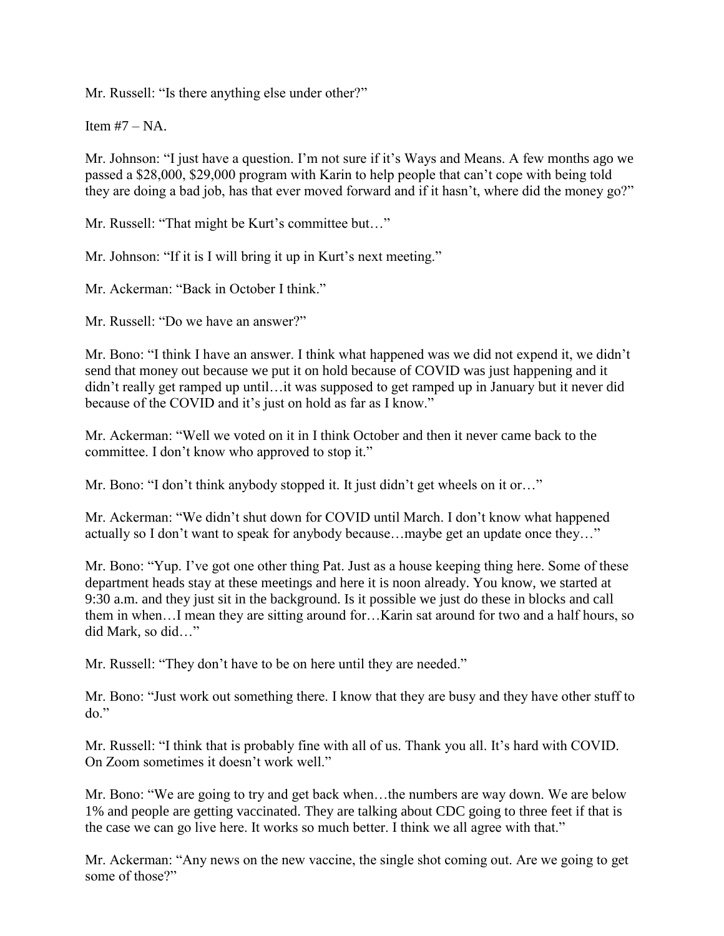Mr. Russell: "Is there anything else under other?"

Item  $#7 - NA$ .

Mr. Johnson: "I just have a question. I'm not sure if it's Ways and Means. A few months ago we passed a \$28,000, \$29,000 program with Karin to help people that can't cope with being told they are doing a bad job, has that ever moved forward and if it hasn't, where did the money go?"

Mr. Russell: "That might be Kurt's committee but…"

Mr. Johnson: "If it is I will bring it up in Kurt's next meeting."

Mr. Ackerman: "Back in October I think."

Mr. Russell: "Do we have an answer?"

Mr. Bono: "I think I have an answer. I think what happened was we did not expend it, we didn't send that money out because we put it on hold because of COVID was just happening and it didn't really get ramped up until…it was supposed to get ramped up in January but it never did because of the COVID and it's just on hold as far as I know."

Mr. Ackerman: "Well we voted on it in I think October and then it never came back to the committee. I don't know who approved to stop it."

Mr. Bono: "I don't think anybody stopped it. It just didn't get wheels on it or..."

Mr. Ackerman: "We didn't shut down for COVID until March. I don't know what happened actually so I don't want to speak for anybody because…maybe get an update once they…"

Mr. Bono: "Yup. I've got one other thing Pat. Just as a house keeping thing here. Some of these department heads stay at these meetings and here it is noon already. You know, we started at 9:30 a.m. and they just sit in the background. Is it possible we just do these in blocks and call them in when…I mean they are sitting around for…Karin sat around for two and a half hours, so did Mark, so did…"

Mr. Russell: "They don't have to be on here until they are needed."

Mr. Bono: "Just work out something there. I know that they are busy and they have other stuff to do."

Mr. Russell: "I think that is probably fine with all of us. Thank you all. It's hard with COVID. On Zoom sometimes it doesn't work well."

Mr. Bono: "We are going to try and get back when…the numbers are way down. We are below 1% and people are getting vaccinated. They are talking about CDC going to three feet if that is the case we can go live here. It works so much better. I think we all agree with that."

Mr. Ackerman: "Any news on the new vaccine, the single shot coming out. Are we going to get some of those?"